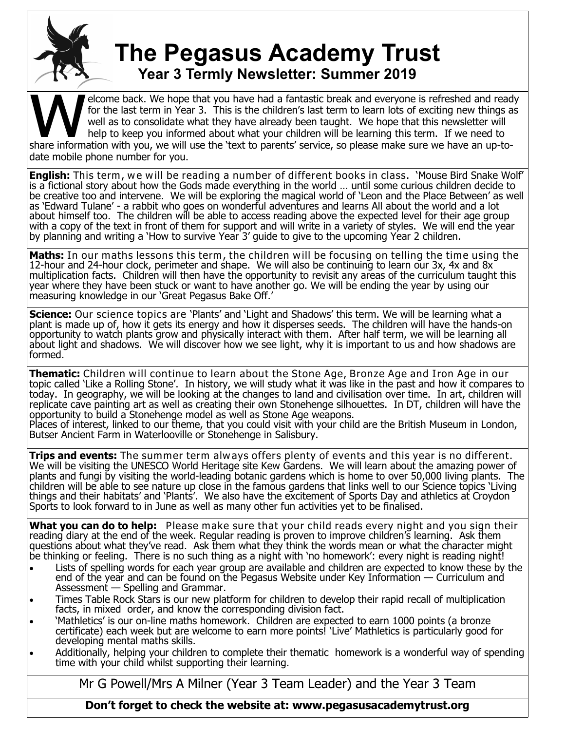

## **The Pegasus Academy Trust Year 3 Termly Newsletter: Summer 2019**

TEAT 3 TETTITLY NEWSTELLET: SUTTITLET ZUTS<br>
for the last term in Year 3. This is the children's last term to learn lots of exciting new things a<br>
well as to consolidate what they have already been taught. We hope that this elcome back. We hope that you have had a fantastic break and everyone is refreshed and ready for the last term in Year 3. This is the children's last term to learn lots of exciting new things as well as to consolidate what they have already been taught. We hope that this newsletter will help to keep you informed about what your children will be learning this term. If we need to date mobile phone number for you.

**English:** This term, we will be reading a number of different books in class. 'Mouse Bird Snake Wolf' is a fictional story about how the Gods made everything in the world … until some curious children decide to be creative too and intervene. We will be exploring the magical world of 'Leon and the Place Between' as well as 'Edward Tulane' - a rabbit who goes on wonderful adventures and learns All about the world and a lot about himself too. The children will be able to access reading above the expected level for their age group with a copy of the text in front of them for support and will write in a variety of styles. We will end the year by planning and writing a 'How to survive Year 3' guide to give to the upcoming Year 2 children.

**Maths:** In our maths lessons this term, the children will be focusing on telling the time using the 12-hour and 24-hour clock, perimeter and shape. We will also be continuing to learn our 3x, 4x and 8x multiplication facts. Children will then have the opportunity to revisit any areas of the curriculum taught this year where they have been stuck or want to have another go. We will be ending the year by using our measuring knowledge in our 'Great Pegasus Bake Off.'

Science: Our science topics are 'Plants' and 'Light and Shadows' this term. We will be learning what a plant is made up of, how it gets its energy and how it disperses seeds. The children will have the hands-on opportunity to watch plants grow and physically interact with them. After half term, we will be learning all about light and shadows. We will discover how we see light, why it is important to us and how shadows are formed.

**Thematic:** Children will continue to learn about the Stone Age, Bronze Age and Iron Age in our topic called 'Like a Rolling Stone'. In history, we will study what it was like in the past and how it compares to today. In geography, we will be looking at the changes to land and civilisation over time. In art, children will replicate cave painting art as well as creating their own Stonehenge silhouettes. In DT, children will have the opportunity to build a Stonehenge model as well as Stone Age weapons.

Places of interest, linked to our theme, that you could visit with your child are the British Museum in London, Butser Ancient Farm in Waterlooville or Stonehenge in Salisbury.

**Trips and events:** The summer term always offers plenty of events and this year is no different. We will be visiting the UNESCO World Heritage site Kew Gardens. We will learn about the amazing power of plants and fungi by visiting the world-leading botanic gardens which is home to over 50,000 living plants. The children will be able to see nature up close in the famous gardens that links well to our Science topics 'Living things and their habitats' and 'Plants'. We also have the excitement of Sports Day and athletics at Croydon Sports to look forward to in June as well as many other fun activities yet to be finalised.

**What you can do to help:** Please make sure that your child reads every night and you sign their reading diary at the end of the week. Regular reading is proven to improve children's learning. Ask them questions about what they've read. Ask them what they think the words mean or what the character might be thinking or feeling. There is no such thing as a night with 'no homework': every night is reading night!

- Lists of spelling words for each year group are available and children are expected to know these by the end of the year and can be found on the Pegasus Website under Key Information — Curriculum and Assessment — Spelling and Grammar.
- Times Table Rock Stars is our new platform for children to develop their rapid recall of multiplication facts, in mixed order, and know the corresponding division fact.
- 'Mathletics' is our on-line maths homework. Children are expected to earn 1000 points (a bronze certificate) each week but are welcome to earn more points! 'Live' Mathletics is particularly good for developing mental maths skills.
- Additionally, helping your children to complete their thematic homework is a wonderful way of spending time with your child whilst supporting their learning.

Mr G Powell/Mrs A Milner (Year 3 Team Leader) and the Year 3 Team

**Don't forget to check the website at: www.pegasusacademytrust.org**